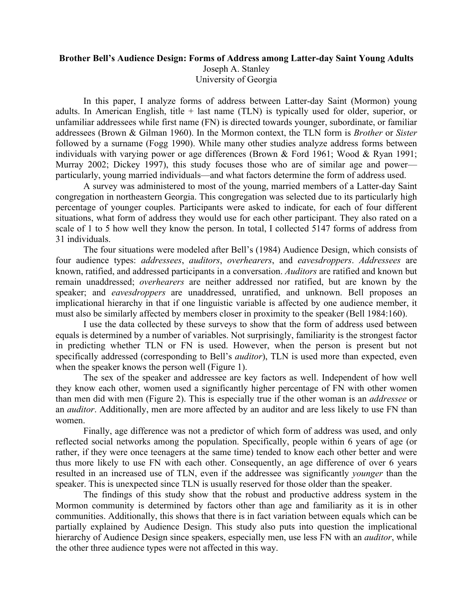## **Brother Bell's Audience Design: Forms of Address among Latter-day Saint Young Adults**

Joseph A. Stanley University of Georgia

In this paper, I analyze forms of address between Latter-day Saint (Mormon) young adults. In American English, title  $+$  last name (TLN) is typically used for older, superior, or unfamiliar addressees while first name (FN) is directed towards younger, subordinate, or familiar addressees (Brown & Gilman 1960). In the Mormon context, the TLN form is *Brother* or *Sister* followed by a surname (Fogg 1990). While many other studies analyze address forms between individuals with varying power or age differences (Brown & Ford 1961; Wood & Ryan 1991; Murray 2002; Dickey 1997), this study focuses those who are of similar age and power particularly, young married individuals—and what factors determine the form of address used.

A survey was administered to most of the young, married members of a Latter-day Saint congregation in northeastern Georgia. This congregation was selected due to its particularly high percentage of younger couples. Participants were asked to indicate, for each of four different situations, what form of address they would use for each other participant. They also rated on a scale of 1 to 5 how well they know the person. In total, I collected 5147 forms of address from 31 individuals.

The four situations were modeled after Bell's (1984) Audience Design, which consists of four audience types: *addressees*, *auditors*, *overhearers*, and *eavesdroppers*. *Addressees* are known, ratified, and addressed participants in a conversation. *Auditors* are ratified and known but remain unaddressed; *overhearers* are neither addressed nor ratified, but are known by the speaker; and *eavesdroppers* are unaddressed, unratified, and unknown. Bell proposes an implicational hierarchy in that if one linguistic variable is affected by one audience member, it must also be similarly affected by members closer in proximity to the speaker (Bell 1984:160).

I use the data collected by these surveys to show that the form of address used between equals is determined by a number of variables. Not surprisingly, familiarity is the strongest factor in predicting whether TLN or FN is used. However, when the person is present but not specifically addressed (corresponding to Bell's *auditor*), TLN is used more than expected, even when the speaker knows the person well (Figure 1).

The sex of the speaker and addressee are key factors as well. Independent of how well they know each other, women used a significantly higher percentage of FN with other women than men did with men (Figure 2). This is especially true if the other woman is an *addressee* or an *auditor*. Additionally, men are more affected by an auditor and are less likely to use FN than women.

Finally, age difference was not a predictor of which form of address was used, and only reflected social networks among the population. Specifically, people within 6 years of age (or rather, if they were once teenagers at the same time) tended to know each other better and were thus more likely to use FN with each other. Consequently, an age difference of over 6 years resulted in an increased use of TLN, even if the addressee was significantly *younger* than the speaker. This is unexpected since TLN is usually reserved for those older than the speaker.

The findings of this study show that the robust and productive address system in the Mormon community is determined by factors other than age and familiarity as it is in other communities. Additionally, this shows that there is in fact variation between equals which can be partially explained by Audience Design. This study also puts into question the implicational hierarchy of Audience Design since speakers, especially men, use less FN with an *auditor*, while the other three audience types were not affected in this way.